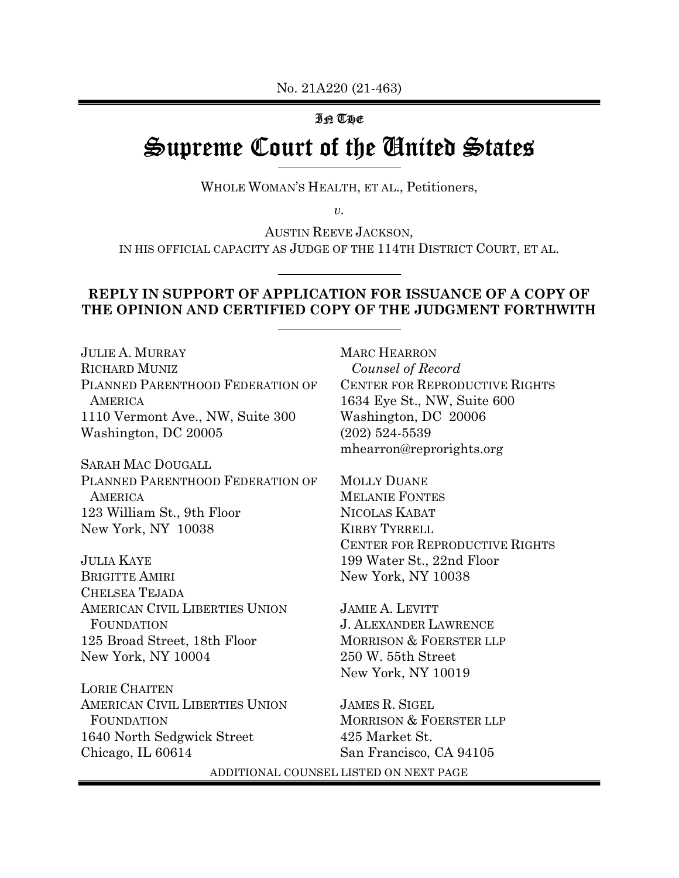# IN THE Supreme Court of the United States

WHOLE WOMAN'S HEALTH, ET AL., Petitioners,

 $\upsilon$ .

AUSTIN REEVE JACKSON, IN HIS OFFICIAL CAPACITY AS JUDGE OF THE 114TH DISTRICT COURT, ET AL.

# REPLY IN SUPPORT OF APPLICATION FOR ISSUANCE OF A COPY OF THE OPINION AND CERTIFIED COPY OF THE JUDGMENT FORTHWITH

JULIE A. MURRAY RICHARD MUNIZ PLANNED PARENTHOOD FEDERATION OF **AMERICA** 1110 Vermont Ave., NW, Suite 300 Washington, DC 20005

SARAH MAC DOUGALL PLANNED PARENTHOOD FEDERATION OF **AMERICA** 123 William St., 9th Floor New York, NY 10038

JULIA KAYE BRIGITTE AMIRI CHELSEA TEJADA AMERICAN CIVIL LIBERTIES UNION FOUNDATION 125 Broad Street, 18th Floor New York, NY 10004

LORIE CHAITEN AMERICAN CIVIL LIBERTIES UNION FOUNDATION 1640 North Sedgwick Street Chicago, IL 60614

MARC HEARRON Counsel of Record CENTER FOR REPRODUCTIVE RIGHTS 1634 Eye St., NW, Suite 600 Washington, DC 20006 (202) 524-5539 mhearron@reprorights.org

MOLLY DUANE MELANIE FONTES NICOLAS KABAT KIRBY TYRRELL CENTER FOR REPRODUCTIVE RIGHTS 199 Water St., 22nd Floor New York, NY 10038

JAMIE A. LEVITT J. ALEXANDER LAWRENCE MORRISON & FOERSTER LLP 250 W. 55th Street New York, NY 10019

JAMES R. SIGEL MORRISON & FOERSTER LLP 425 Market St. San Francisco, CA 94105

ADDITIONAL COUNSEL LISTED ON NEXT PAGE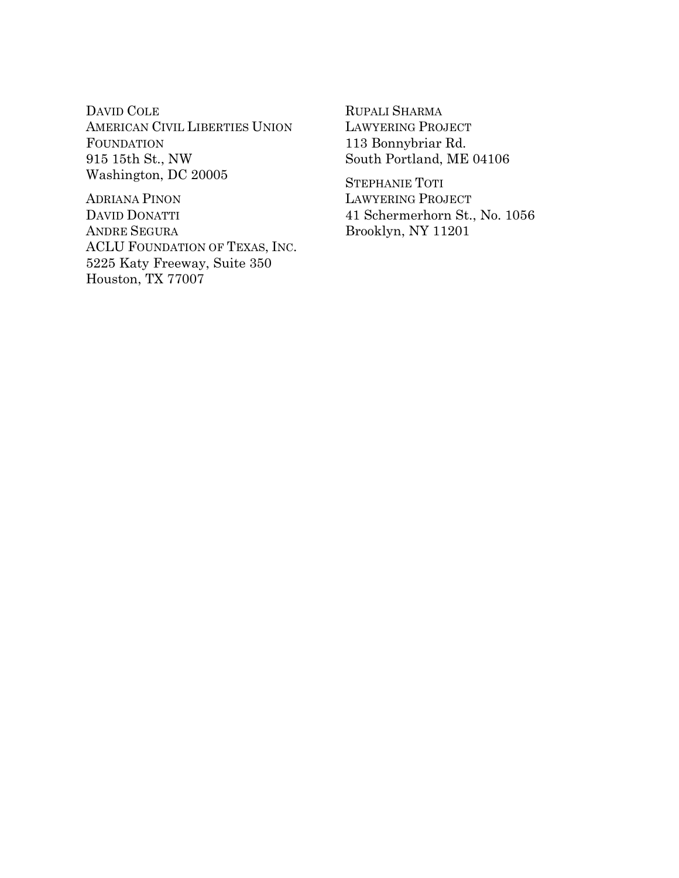DAVID COLE AMERICAN CIVIL LIBERTIES UNION FOUNDATION 915 15th St., NW Washington, DC 20005

ADRIANA PINON DAVID DONATTI ANDRE SEGURA ACLU FOUNDATION OF TEXAS, INC. 5225 Katy Freeway, Suite 350 Houston, TX 77007

RUPALI SHARMA LAWYERING PROJECT 113 Bonnybriar Rd. South Portland, ME 04106

STEPHANIE TOTI LAWYERING PROJECT 41 Schermerhorn St., No. 1056 Brooklyn, NY 11201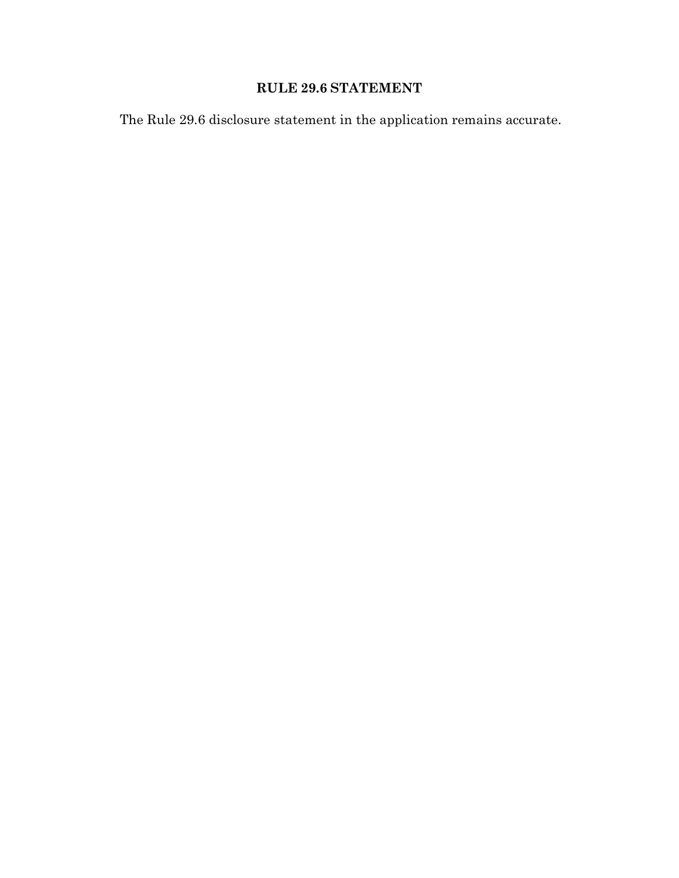# RULE 29.6 STATEMENT

The Rule 29.6 disclosure statement in the application remains accurate.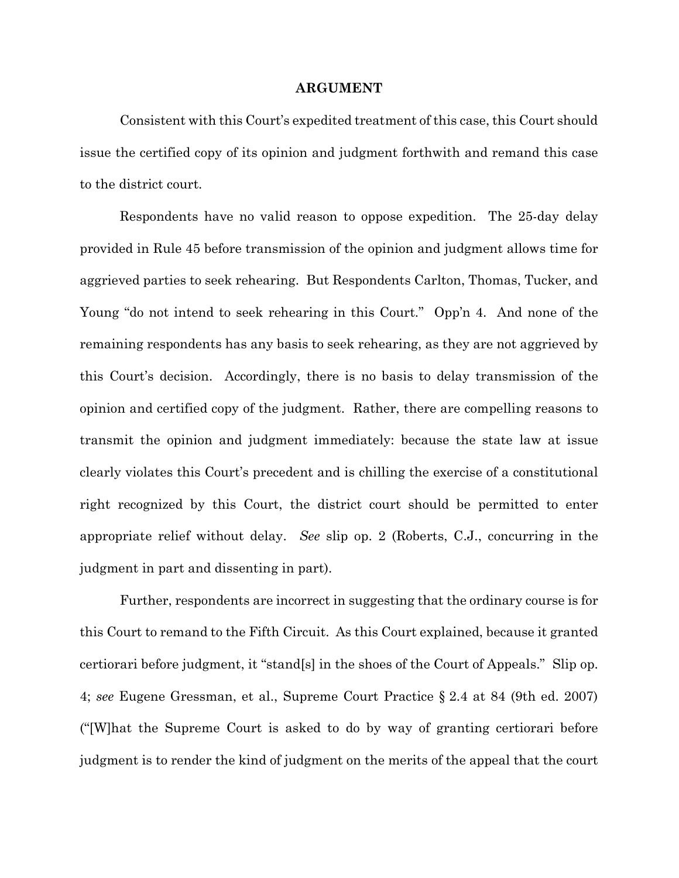#### ARGUMENT

Consistent with this Court's expedited treatment of this case, this Court should issue the certified copy of its opinion and judgment forthwith and remand this case to the district court.

Respondents have no valid reason to oppose expedition. The 25-day delay provided in Rule 45 before transmission of the opinion and judgment allows time for aggrieved parties to seek rehearing. But Respondents Carlton, Thomas, Tucker, and Young "do not intend to seek rehearing in this Court." Opp'n 4. And none of the remaining respondents has any basis to seek rehearing, as they are not aggrieved by this Court's decision. Accordingly, there is no basis to delay transmission of the opinion and certified copy of the judgment. Rather, there are compelling reasons to transmit the opinion and judgment immediately: because the state law at issue clearly violates this Court's precedent and is chilling the exercise of a constitutional right recognized by this Court, the district court should be permitted to enter appropriate relief without delay. See slip op. 2 (Roberts, C.J., concurring in the judgment in part and dissenting in part).

Further, respondents are incorrect in suggesting that the ordinary course is for this Court to remand to the Fifth Circuit. As this Court explained, because it granted certiorari before judgment, it "stand[s] in the shoes of the Court of Appeals." Slip op. 4; see Eugene Gressman, et al., Supreme Court Practice § 2.4 at 84 (9th ed. 2007) ("[W]hat the Supreme Court is asked to do by way of granting certiorari before judgment is to render the kind of judgment on the merits of the appeal that the court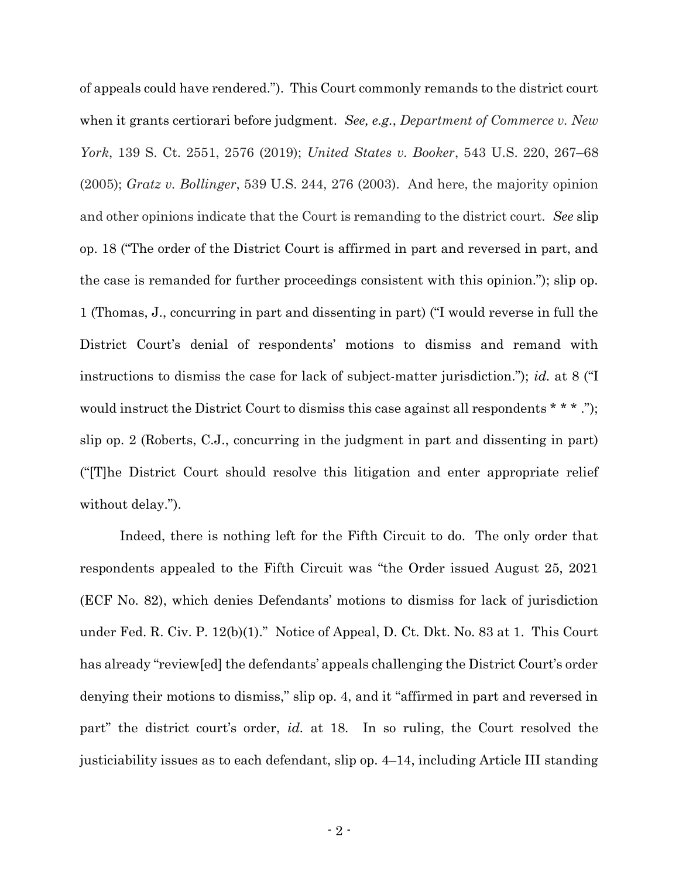of appeals could have rendered."). This Court commonly remands to the district court when it grants certiorari before judgment. See, e.g., Department of Commerce v. New York, 139 S. Ct. 2551, 2576 (2019); United States v. Booker, 543 U.S. 220, 267–68 (2005); Gratz v. Bollinger, 539 U.S. 244, 276 (2003). And here, the majority opinion and other opinions indicate that the Court is remanding to the district court. See slip op. 18 ("The order of the District Court is affirmed in part and reversed in part, and the case is remanded for further proceedings consistent with this opinion."); slip op. 1 (Thomas, J., concurring in part and dissenting in part) ("I would reverse in full the District Court's denial of respondents' motions to dismiss and remand with instructions to dismiss the case for lack of subject-matter jurisdiction."); id. at 8 ("I would instruct the District Court to dismiss this case against all respondents \* \* \*."); slip op. 2 (Roberts, C.J., concurring in the judgment in part and dissenting in part) ("[T]he District Court should resolve this litigation and enter appropriate relief without delay.").

Indeed, there is nothing left for the Fifth Circuit to do. The only order that respondents appealed to the Fifth Circuit was "the Order issued August 25, 2021 (ECF No. 82), which denies Defendants' motions to dismiss for lack of jurisdiction under Fed. R. Civ. P. 12(b)(1)." Notice of Appeal, D. Ct. Dkt. No. 83 at 1. This Court has already "review[ed] the defendants' appeals challenging the District Court's order denying their motions to dismiss," slip op. 4, and it "affirmed in part and reversed in part" the district court's order, *id.* at 18. In so ruling, the Court resolved the justiciability issues as to each defendant, slip op. 4–14, including Article III standing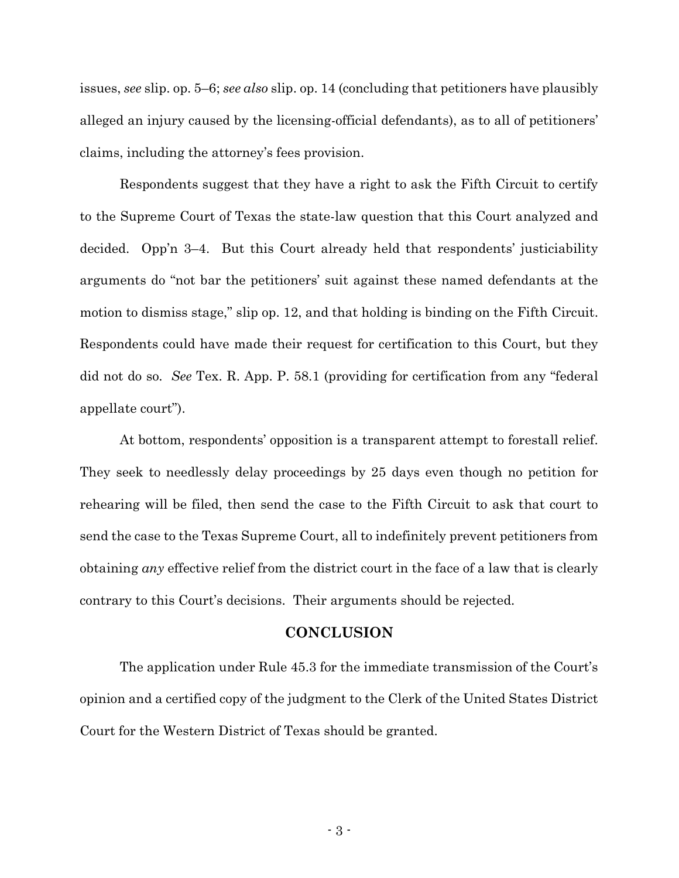issues, see slip. op. 5–6; see also slip. op. 14 (concluding that petitioners have plausibly alleged an injury caused by the licensing-official defendants), as to all of petitioners' claims, including the attorney's fees provision.

Respondents suggest that they have a right to ask the Fifth Circuit to certify to the Supreme Court of Texas the state-law question that this Court analyzed and decided. Opp'n 3–4. But this Court already held that respondents' justiciability arguments do "not bar the petitioners' suit against these named defendants at the motion to dismiss stage," slip op. 12, and that holding is binding on the Fifth Circuit. Respondents could have made their request for certification to this Court, but they did not do so. See Tex. R. App. P. 58.1 (providing for certification from any "federal appellate court").

At bottom, respondents' opposition is a transparent attempt to forestall relief. They seek to needlessly delay proceedings by 25 days even though no petition for rehearing will be filed, then send the case to the Fifth Circuit to ask that court to send the case to the Texas Supreme Court, all to indefinitely prevent petitioners from obtaining any effective relief from the district court in the face of a law that is clearly contrary to this Court's decisions. Their arguments should be rejected.

### **CONCLUSION**

The application under Rule 45.3 for the immediate transmission of the Court's opinion and a certified copy of the judgment to the Clerk of the United States District Court for the Western District of Texas should be granted.